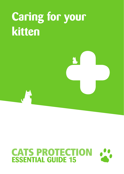## **Caring for your kitten**

# **CATS PROTECTION**<br>**ESSENTIAL GUIDE 15**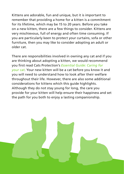Kittens are adorable, fun and unique, but it is important to remember that providing a home for a kitten is a commitment for its lifetime, which may be 15 to 20 years. Before you take on a new kitten, there are a few things to consider. Kittens are very mischievous, full of energy and often time consuming. If you are particularly keen to protect your curtains, sofa or other furniture, then you may like to consider adopting an adult or older cat.

There are responsibilities involved in owning any cat and if you are thinking about adopting a kitten, we would recommend you first read Cats Protection's *Essential Guide: Caring for your cat*. Your new kitten will be a cat before you know it and you will need to understand how to look after their welfare throughout their life. However, there are also some additional considerations for kittens which this guide highlights. Although they do not stay young for long, the care you provide for your kitten will help ensure their happiness and set the path for you both to enjoy a lasting companionship.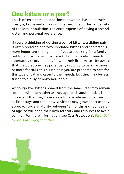## **One kitten or a pair?**

This is often a personal decision for owners, based on their lifestyle, home and surrounding environment, the cat density of the local population, the extra expense of having a second kitten and personal preference.

If you are thinking of getting a pair of kittens, a sibling pair is often preferable to two unrelated kittens and character is more important than gender. If you are looking for a family pet for a busy home, look for a kitten that is alert, keen to approach visitors and playful with their litter mates. Be aware that the quiet one may potentially grow up to be an anxious or more fearful cat. This is fine if you are prepared to care for this type of cat and cater to their needs, but they may be less suited to a busy or noisy household.

Although two kittens homed from the same litter may remain sociable with each other as they approach adulthood, it is important that they have access to separate resources, such as litter trays and food bowls. Kittens may grow apart as they approach social maturity between 18 months and four years of age, so will need their own territory and resources to avoid conflict. For more information, see Cats Protection's *Essential Guide: Cats living together*.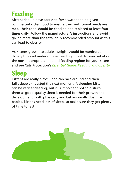## **Feeding**

Kittens should have access to fresh water and be given commercial kitten food to ensure their nutritional needs are met. Their food should be checked and replaced at least four times daily. Follow the manufacturer's instructions and avoid giving more than the total daily recommended amount as this can lead to obesity.

As kittens grow into adults, weight should be monitored closely to avoid under or over feeding. Speak to your vet about the most appropriate diet and feeding regime for your kitten and see Cats Protection's *Essential Guide: Feeding and obesity*.

## **Sleep**

Kittens are really playful and can race around and then fall asleep exhausted the next moment. A sleeping kitten can be very endearing, but it is important not to disturb them as good-quality sleep is needed for their growth and development, both physically and behaviourally. Just like babies, kittens need lots of sleep, so make sure they get plenty of time to rest.

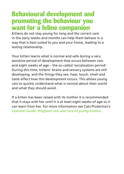### **Behavioural development and promoting the behaviour you want for a feline companion**

Kittens do not stay young for long and the correct care in the early weeks and months can help them behave in a way that is best suited to you and your home, leading to a lasting relationship.

Your kitten learns what is normal and safe during a very sensitive period of development that occurs between two and eight weeks of age – the so-called 'socialisation period'. During this time, kittens' brains and sensory systems are still developing, and the things they see, hear, touch, smell and taste affect how this development occurs. This allows young cats to quickly understand what is normal about their world and what they should avoid.

If a kitten has been raised with its mother it is recommended that it stays with her until it is at least eight weeks of age so it can learn from her. For more information see Cats Protection's *Essential Guide: Pregnant cats and care of young kittens*.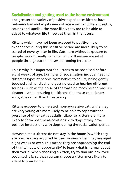#### **Socialisation and getting used to the home environment**

The greater the variety of positive experiences kittens have between two and eight weeks of age – such as different sights, sounds and smells – the more likely they are to be able to adapt to whatever life throws at them in the future.

Kittens which have not been exposed to positive, new experiences during this sensitive period are more likely to be scared of novelty later in life. Cats born without exposure to people cannot usually be tamed and will remain scared of people throughout their lives, becoming feral cats.

This is why it is important for kittens to be socialised before eight weeks of age. Examples of socialisation include meeting different types of people from babies to adults, being gently touched and handled, and getting used to hearing different sounds – such as the noise of the washing machine and vacuum cleaner – while ensuring the kittens find these experiences enjoyable rather than threatening.

Kittens exposed to unrelated, non-aggressive cats while they are very young are more likely to be able to cope with the presence of other cats as adults. Likewise, kittens are more likely to form positive associations with dogs if they have positive interactions with dogs during the socialisation period.

However, most kittens do not stay in the home in which they are born and are acquired by their owners when they are aged eight weeks or over. This means they are approaching the end of this 'window of opportunity' to learn what is normal about their world. When choosing a kitten, try to find out how well socialised it is, so that you can choose a kitten most likely to adapt to your home.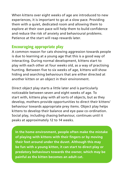When kittens over eight weeks of age are introduced to new experiences, it is important to go at a slow pace. Providing them with a quiet, dedicated room and allowing them to explore at their own pace will help them to build confidence and reduce the risk of anxiety and behavioural problems. Patience at the start will reap rewards later.

#### **Encouraging appropriate play**

A common reason for cats showing aggression towards people is due to learning at a young age that this is a good way of interacting. During normal development, kittens start to play with each other at four weeks old, as a way of practising hunting. Between five to six weeks of age, kittens will show hiding and searching behaviours that are either directed at another kitten or an object in their environment.

Direct object play starts a little later and is particularly noticeable between seven and eight weeks of age. To start with, kittens play with all sorts of objects, but as they develop, mothers provide opportunities to direct their kittens' behaviour towards appropriate prey items. Object play helps kittens to develop their balance and eye-paw co-ordination. Social play, including chasing behaviour, continues until it peaks at approximately 12 to 14 weeks.

**In the home environment, people often make the mistake of playing with kittens with their fingers or by moving their feet around under the duvet. Although this may be fun with a young kitten, it can start to direct play or predatory behaviours towards the owner, which may be painful as the kitten becomes an adult cat.**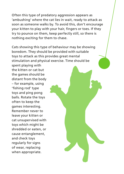Often this type of predatory aggression appears as 'ambushing' where the cat lies in wait, ready to attack as soon as someone walks by. To avoid this, don't encourage your kitten to play with your hair, fingers or toes. If they try to pounce on them, keep perfectly still, so there is nothing exciting for them to chase.

Cats showing this type of behaviour may be showing boredom. They should be provided with suitable toys to attack as this provides great mental stimulation and physical exercise. Time should be

spent playing with the kitten or cat but the games should be distant from the body – for example, using 'fishing rod' type toys and ping pong balls. Rotate the toys often to keep the games interesting. Remember never to leave your kitten or cat unsupervised with toys which might be shredded or eaten, or cause entanglement, and check toys regularly for signs of wear, replacing when appropriate.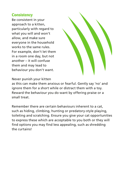#### **Consistency**

Be consistent in your approach to a kitten, particularly with regard to what you will and won't allow, and make sure everyone in the household works to the same rules. For example, don't let them in a room one day, but not another – it will confuse them and may lead to behaviour you don't want.



#### Never punish your kitten

as this can make them anxious or fearful. Gently say 'no' and ignore them for a short while or distract them with a toy. Reward the behaviour you do want by offering praise or a small treat.

Remember there are certain behaviours inherent to a cat, such as hiding, climbing, hunting or predatory-style playing, toileting and scratching. Ensure you give your cat opportunities to express these which are acceptable to you both or they will find options you may find less appealing, such as shredding the curtains!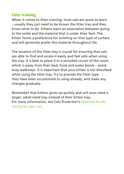#### **Litter training**

When it comes to litter training, most cats are quick to learn – usually they just need to be shown the litter tray and they know what to do. Kittens learn an association between going to the toilet and the material that is under their feet. The kitten forms a preference for toileting on that type of surface and will generally prefer this material throughout life.

The location of the litter tray is crucial for ensuring that cats are able to find and access it easily and feel safe when using the tray. It is best to place it in a secluded corner of the room, which is away from their bed, food and water bowls – avoid busy walkways. It is important that your kitten is not disturbed while using the litter tray. Try to provide the litter type they have been accustomed to using already, and make any changes gradually.

Remember that kittens grow up quickly and will soon need a larger, adult-sized tray instead of their kitten tray. For more information, see Cats Protection's *Essential Guide: Caring for your cat*.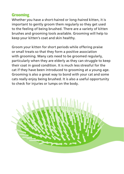#### **Grooming**

Whether you have a short-haired or long-haired kitten, it is important to gently groom them regularly so they get used to the feeling of being brushed. There are a variety of kitten brushes and grooming tools available. Grooming will help to keep your kitten's coat and skin healthy.

Groom your kitten for short periods while offering praise or small treats so that they form a positive association with grooming. Many cats need to be groomed regularly, particularly when they are elderly as they can struggle to keep their coat in good condition. It is much less stressful for the cat if they have been introduced to grooming at a young age. Grooming is also a great way to bond with your cat and some cats really enjoy being brushed. It is also a useful opportunity to check for injuries or lumps on the body.

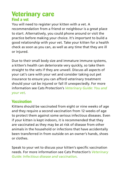#### **Veterinary care Find a vet**

You will need to register your kitten with a vet. A recommendation from a friend or neighbour is a great place to start. Alternatively, you could phone around or visit the practice before making your choice. It's important to build a good relationship with your vet. Take your kitten for a health check as soon as you can, as well as any time that they are ill or injured.

Due to their small body size and immature immune systems, a kitten's health can deteriorate very quickly, so take them straight to the vets if they are unwell. Discuss all aspects of your cat's care with your vet and consider taking out pet insurance to ensure you can afford veterinary treatment should your cat be injured or fall ill unexpectedly. For more information see Cats Protection's *Veterinary Guide: You and your vet*.

#### **Vaccination**

Kittens should be vaccinated from eight or nine weeks of age and they require a second vaccination from 12 weeks of age to protect them against some serious infectious diseases. Even if your kitten is kept indoors, it is recommended that they are vaccinated as they may be at risk of disease from other animals in the household or infections that have accidentally been transferred in from outside on an owner's hands, shoes or clothes.

Speak to your vet to discuss your kitten's specific vaccination needs. For more information see Cats Protection's *Veterinary Guide: Infectious disease and vaccination*.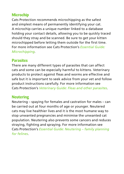#### **Microchip**

Cats Protection recommends microchipping as the safest and simplest means of permanently identifying your cat. A microchip carries a unique number linked to a database holding your contact details, allowing you to be quickly traced should they stray and be scanned. Be sure to get your kitten microchipped before letting them outside for the first time. For more information see Cats Protection's *Essential Guide: Microchipping*.

#### **Parasites**

There are many different types of parasites that can affect cats and some can be especially harmful to kittens. Veterinary products to protect against fleas and worms are effective and safe but it is important to seek advice from your vet and follow product instructions carefully. For more information see Cats Protection's *Veterinary Guide: Fleas and other parasites*.

#### **Neutering**

Neutering – spaying for females and castration for males – can be carried out at four months of age or younger. Neutered cats may live healthier lives and it is the most humane way to stop unwanted pregnancies and minimise the unwanted cat population. Neutering also prevents some cancers and reduces straying, fighting and spraying. For more information see Cats Protection's *Essential Guide: Neutering – family planning for felines*.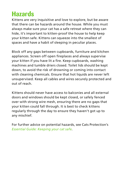## **Hazards**

Kittens are very inquisitive and love to explore, but be aware that there can be hazards around the house. While you must always make sure your cat has a safe retreat where they can hide, it's important to kitten-proof the house to help keep your kitten safe. Kittens can squeeze into the smallest of spaces and have a habit of sleeping in peculiar places.

Block off any gaps between cupboards, furniture and kitchen appliances. Screen off open fireplaces and always supervise your kitten if you have lit a fire. Keep cupboards, washing machines and tumble driers closed. Toilet lids should be kept down, to avoid the risk of drowning or coming into contact with cleaning chemicals. Ensure that hot liquids are never left unsupervised. Keep all cables and wires securely protected and out of reach.

Kittens should never have access to balconies and all external doors and windows should be kept closed, or safely fenced over with strong wire mesh, ensuring there are no gaps that your kitten could fall through. It is best to check kittens regularly through the day to ensure they haven't got up to any mischief.

For further advice on potential hazards, see Cats Protection's *Essential Guide: Keeping your cat safe*.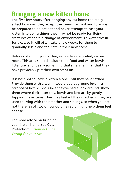## **Bringing a new kitten home**

The first few hours after bringing any cat home can really affect how well they accept their new life. First and foremost, be prepared to be patient and never attempt to rush your kitten into doing things they may not be ready for. Being creatures of habit, a change of environment is always stressful for a cat, so it will often take a few weeks for them to gradually settle and feel safe in their new home.

Before collecting your kitten, set aside a dedicated, secure room. This area should include their food and water bowls, litter tray and ideally something that smells familiar that they have previously put their own scent on.

It is best not to leave a kitten alone until they have settled. Provide them with a warm, secure bed at ground level – a cardboard box will do. Once they've had a look around, show them where their litter tray, bowls and bed are by gently tapping these items. They may feel a little unsettled if they are used to living with their mother and siblings, so when you are not there, a soft toy or low-volume radio might help them feel at ease.

For more advice on bringing your kitten home, see Cats Protection's *Essential Guide: Caring for your cat*.

![](_page_14_Picture_5.jpeg)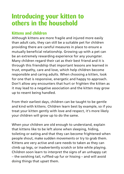## **Introducing your kitten to others in the household**

#### **Kittens and children**

Although kittens are more fragile and injured more easily than adult cats, they can still be a suitable pet for children providing there are careful measures in place to ensure a mutually beneficial relationship. Growing up with a pet can be an extremely rewarding experience for any youngster. Many children regard their cat as their best friend and it is through this friendship that important lessons are learned in trust, empathy, care and love, which help children become responsible and caring adults. When choosing a kitten, look for one that is responsive, energetic and happy to approach. Don't allow any encounters that hurt or frighten the kitten as it may lead to a negative association and the kitten may grow up to resent being handled.

From their earliest days, children can be taught to be gentle and kind with kittens. Children learn best by example, so if you treat your kitten gently with love and respect, it's more likely your children will grow up to do the same.

When your children are old enough to understand, explain that kittens like to be left alone when sleeping, hiding, toileting or eating and that they can become frightened when people shout, make sudden movements or try to grab them. Kittens are very active and care needs to taken as they can climb up legs, or inadvertently scratch or bite while playing. Children soon learn to interpret the signs of an unhappy cat – the swishing tail, ruffled-up fur or hissing – and will avoid doing things that upset them.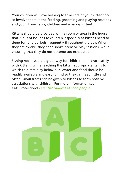Your children will love helping to take care of your kitten too, so involve them in the feeding, grooming and playing routines and you'll have happy children and a happy kitten!

Kittens should be provided with a room or area in the house that is out of bounds to children, especially as kittens need to sleep for long periods frequently throughout the day. When they are awake, they need short intensive play sessions, while ensuring that they do not become too exhausted.

Fishing rod toys are a great way for children to interact safely with kittens, while teaching the kitten appropriate items to which to direct play behaviour. Water and food should be readily available and easy to find so they can feed little and often. Small treats can be given to kittens to form positive associations with children. For more information see Cats Protection's *Essential Guide: Cats and people*.

![](_page_16_Picture_3.jpeg)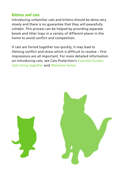#### **Kittens and cats**

Introducing unfamiliar cats and kittens should be done very slowly and there is no guarantee that they will peacefully cohabit. This process can be helped by providing separate bowls and litter trays in a variety of different places in the home to avoid conflict and competition.

If cats are forced together too quickly, it may lead to lifelong conflict and stress which is difficult to resolve – first impressions are all important. For more detailed information on introducing cats, see Cats Protection's *Essential Guides: Cats living together* and *Welcome home*.

![](_page_17_Picture_3.jpeg)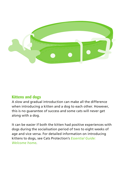![](_page_18_Picture_0.jpeg)

#### **Kittens and dogs**

A slow and gradual introduction can make all the difference when introducing a kitten and a dog to each other. However, this is no guarantee of success and some cats will never get along with a dog.

It can be easier if both the kitten had positive experiences with dogs during the socialisation period of two to eight weeks of age and vice versa. For detailed information on introducing kittens to dogs, see Cats Protection's *Essential Guide: Welcome home*.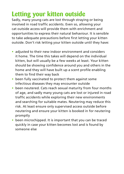## **Letting your kitten outside**

Sadly, many young cats are lost through straying or being involved in road traffic accidents. Even so, allowing your cat outside access will provide them with enrichment and opportunities to express their natural behaviour. It is sensible to take adequate precautions before first letting your kitten outside. Don't risk letting your kitten outside until they have:

- **•** adjusted to their new indoor environment and considers it home. The time this takes will depend on the individual kitten, but will usually be a few weeks at least. Your kitten should be showing confidence around you and others in the home and they will have built up a scent profile enabling them to find their way back
- **•** been fully vaccinated to protect them against some infectious diseases they may encounter outside
- **•** been neutered. Cats reach sexual maturity from four months of age, and sadly many young cats are lost or injured in road traffic accidents while exploring their new environments and searching for suitable mates. Neutering may reduce this risk. At least ensure only supervised access outside before neutering and ensure your kitten is booked in for neutering promptly
- **•** been microchipped. It is important that you can be traced quickly in case your kitten becomes lost and is found by someone else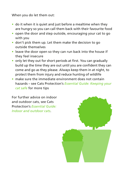When you do let them out:

- **•** do it when it is quiet and just before a mealtime when they are hungry so you can call them back with their favourite food
- **•** open the door and step outside, encouraging your cat to go with you
- **•** don't pick them up. Let them make the decision to go outside themselves
- **•** leave the door open so they can run back into the house if they feel insecure
- **•** only let they out for short periods at first. You can gradually build up the time they are out until you are confident they can come and go as they please. Always keep them in at night, to protect them from injury and reduce hunting of wildlife
- **•** make sure the immediate environment does not contain hazards – see Cats Protection's *Essential Guide: Keeping your cat safe* for more tips

For further advice on indoor and outdoor cats, see Cats Protection's *Essential Guide: Indoor and outdoor cats*.

![](_page_20_Picture_8.jpeg)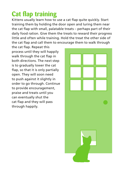## **Cat flap training**

Kittens usually learn how to use a cat flap quite quickly. Start training them by holding the door open and luring them near the cat flap with small, palatable treats – perhaps part of their daily food ration. Give them the treats to reward their progress little and often while training. Hold the treat the other side of the cat flap and call them to encourage them to walk through

the cat flap. Repeat this process until they will happily walk through the cat flap in both directions. The next step is to gradually lower the cat flap, so that it is only partially open. They will soon need to push against it slightly in order to go through. Continue to provide encouragement, praise and treats until you can eventually shut the cat flap and they will pass through happily.

![](_page_21_Picture_3.jpeg)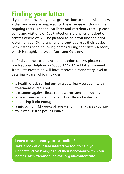## **Finding your kitten**

If you are happy that you've got the time to spend with a new kitten and you are prepared for the expense – including the ongoing costs like food, cat litter and veterinary care – please come and visit one of Cat Protection's branches or adoption centres where we will be pleased to help you find the right kitten for you. Our branches and centres are at their busiest with kittens needing loving homes during the 'kitten season', which is roughly between April and October.

To find your nearest branch or adoption centre, please call our National Helpline on 03000 12 12 12. All kittens homed from Cats Protection will have received a mandatory level of veterinary care, which includes:

- **•** a health check carried out by a veterinary surgeon, with treatment as required
- **•** treatment against fleas, roundworms and tapeworms
- **•** at least one vaccination against cat flu and enteritis
- **•** neutering if old enough
- **•** a microchip if 12 weeks of age and in many cases younger
- **•** four weeks' free pet insurance

**Learn more about your cat online! Take a look at our free interactive tool to help you understand cats' origins and their behaviour within our homes. http://learnonline.cats.org.uk/content/ufo**